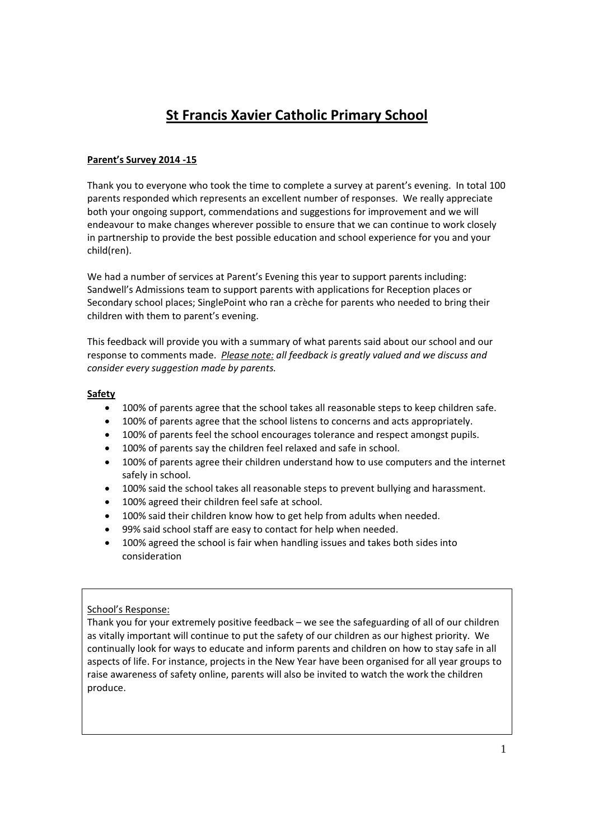# **St Francis Xavier Catholic Primary School**

# **Parent's Survey 2014 ‐15**

Thank you to everyone who took the time to complete a survey at parent's evening. In total 100 parents responded which represents an excellent number of responses. We really appreciate both your ongoing support, commendations and suggestions for improvement and we will endeavour to make changes wherever possible to ensure that we can continue to work closely in partnership to provide the best possible education and school experience for you and your child(ren).

We had a number of services at Parent's Evening this year to support parents including: Sandwell's Admissions team to support parents with applications for Reception places or Secondary school places; SinglePoint who ran a crèche for parents who needed to bring their children with them to parent's evening.

This feedback will provide you with a summary of what parents said about our school and our response to comments made. *Please note: all feedback is greatly valued and we discuss and consider every suggestion made by parents.*

# **Safety**

- 100% of parents agree that the school takes all reasonable steps to keep children safe.
- 100% of parents agree that the school listens to concerns and acts appropriately.
- 100% of parents feel the school encourages tolerance and respect amongst pupils.
- 100% of parents say the children feel relaxed and safe in school.
- 100% of parents agree their children understand how to use computers and the internet safely in school.
- 100% said the school takes all reasonable steps to prevent bullying and harassment.
- 100% agreed their children feel safe at school.
- 100% said their children know how to get help from adults when needed.
- 99% said school staff are easy to contact for help when needed.
- 100% agreed the school is fair when handling issues and takes both sides into consideration

# School's Response:

Thank you for your extremely positive feedback – we see the safeguarding of all of our children as vitally important will continue to put the safety of our children as our highest priority. We continually look for ways to educate and inform parents and children on how to stay safe in all aspects of life. For instance, projects in the New Year have been organised for all year groups to raise awareness of safety online, parents will also be invited to watch the work the children produce.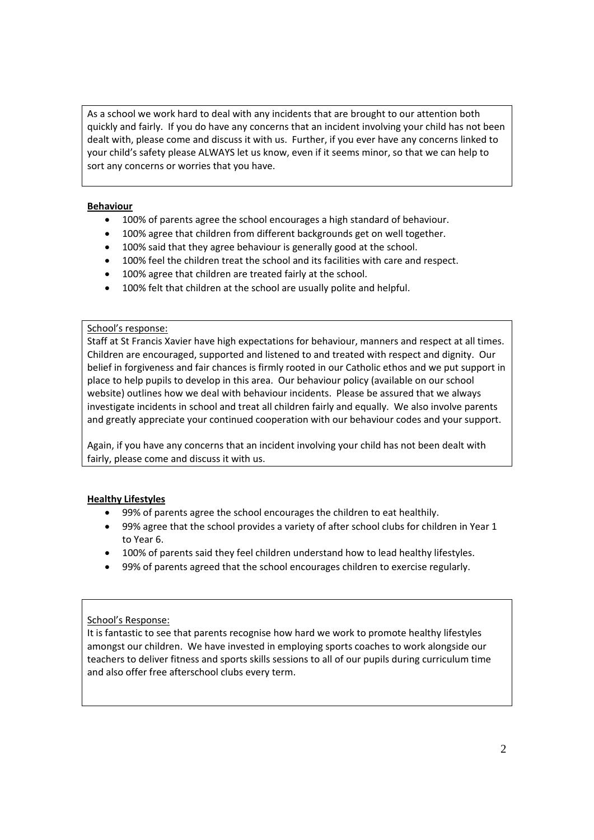As a school we work hard to deal with any incidents that are brought to our attention both quickly and fairly. If you do have any concerns that an incident involving your child has not been dealt with, please come and discuss it with us. Further, if you ever have any concerns linked to your child's safety please ALWAYS let us know, even if it seems minor, so that we can help to sort any concerns or worries that you have.

# **Behaviour**

- 100% of parents agree the school encourages a high standard of behaviour.
- 100% agree that children from different backgrounds get on well together.
- 100% said that they agree behaviour is generally good at the school.
- 100% feel the children treat the school and its facilities with care and respect.
- 100% agree that children are treated fairly at the school.
- 100% felt that children at the school are usually polite and helpful.

#### School's response:

Staff at St Francis Xavier have high expectations for behaviour, manners and respect at all times. Children are encouraged, supported and listened to and treated with respect and dignity. Our belief in forgiveness and fair chances is firmly rooted in our Catholic ethos and we put support in place to help pupils to develop in this area. Our behaviour policy (available on our school website) outlines how we deal with behaviour incidents. Please be assured that we always investigate incidents in school and treat all children fairly and equally. We also involve parents and greatly appreciate your continued cooperation with our behaviour codes and your support.

Again, if you have any concerns that an incident involving your child has not been dealt with fairly, please come and discuss it with us.

# **Healthy Lifestyles**

- 99% of parents agree the school encourages the children to eat healthily.
- 99% agree that the school provides a variety of after school clubs for children in Year 1 to Year 6.
- 100% of parents said they feel children understand how to lead healthy lifestyles.
- 99% of parents agreed that the school encourages children to exercise regularly.

# School's Response:

It is fantastic to see that parents recognise how hard we work to promote healthy lifestyles amongst our children. We have invested in employing sports coaches to work alongside our teachers to deliver fitness and sports skills sessions to all of our pupils during curriculum time and also offer free afterschool clubs every term.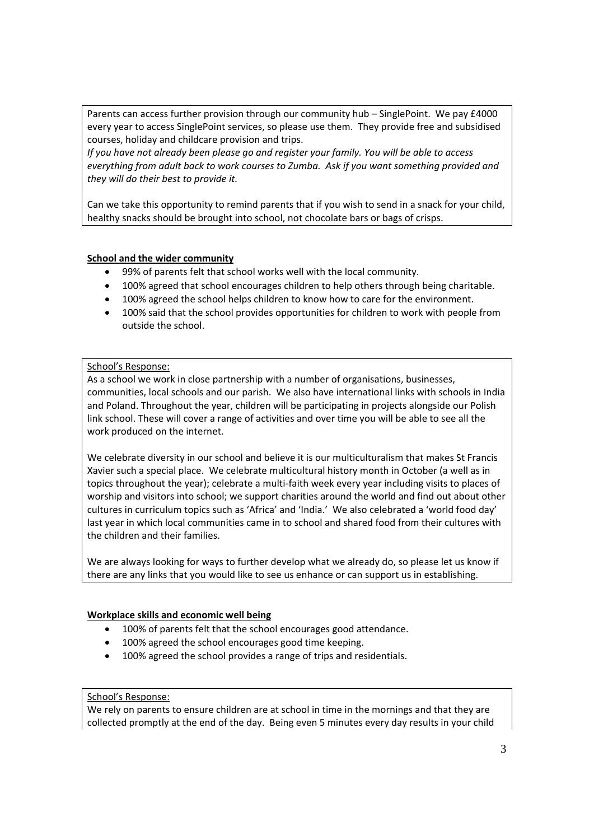Parents can access further provision through our community hub – SinglePoint. We pay £4000 every year to access SinglePoint services, so please use them. They provide free and subsidised courses, holiday and childcare provision and trips.

*If you have not already been please go and register your family. You will be able to access everything from adult back to work courses to Zumba. Ask if you want something provided and they will do their best to provide it.*

Can we take this opportunity to remind parents that if you wish to send in a snack for your child, healthy snacks should be brought into school, not chocolate bars or bags of crisps.

# **School and the wider community**

- 99% of parents felt that school works well with the local community.
- 100% agreed that school encourages children to help others through being charitable.
- 100% agreed the school helps children to know how to care for the environment.
- 100% said that the school provides opportunities for children to work with people from outside the school.

# School's Response:

As a school we work in close partnership with a number of organisations, businesses, communities, local schools and our parish. We also have international links with schools in India and Poland. Throughout the year, children will be participating in projects alongside our Polish link school. These will cover a range of activities and over time you will be able to see all the work produced on the internet.

We celebrate diversity in our school and believe it is our multiculturalism that makes St Francis Xavier such a special place. We celebrate multicultural history month in October (a well as in topics throughout the year); celebrate a multi‐faith week every year including visits to places of worship and visitors into school; we support charities around the world and find out about other cultures in curriculum topics such as 'Africa' and 'India.' We also celebrated a 'world food day' last year in which local communities came in to school and shared food from their cultures with the children and their families.

We are always looking for ways to further develop what we already do, so please let us know if there are any links that you would like to see us enhance or can support us in establishing.

# **Workplace skills and economic well being**

- 100% of parents felt that the school encourages good attendance.
- 100% agreed the school encourages good time keeping.
- 100% agreed the school provides a range of trips and residentials.

# School's Response:

We rely on parents to ensure children are at school in time in the mornings and that they are collected promptly at the end of the day. Being even 5 minutes every day results in your child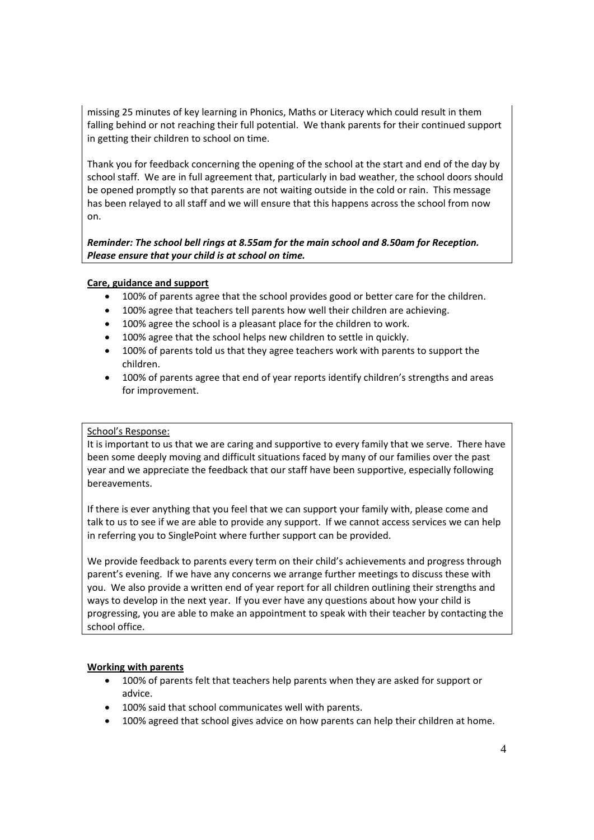missing 25 minutes of key learning in Phonics, Maths or Literacy which could result in them falling behind or not reaching their full potential. We thank parents for their continued support in getting their children to school on time.

Thank you for feedback concerning the opening of the school at the start and end of the day by school staff. We are in full agreement that, particularly in bad weather, the school doors should be opened promptly so that parents are not waiting outside in the cold or rain. This message has been relayed to all staff and we will ensure that this happens across the school from now on.

*Reminder: The school bell rings at 8.55am for the main school and 8.50am for Reception. Please ensure that your child is at school on time.*

# **Care, guidance and support**

- 100% of parents agree that the school provides good or better care for the children.
- 100% agree that teachers tell parents how well their children are achieving.
- 100% agree the school is a pleasant place for the children to work.
- 100% agree that the school helps new children to settle in quickly.
- 100% of parents told us that they agree teachers work with parents to support the children.
- 100% of parents agree that end of year reports identify children's strengths and areas for improvement.

# School's Response:

It is important to us that we are caring and supportive to every family that we serve. There have been some deeply moving and difficult situations faced by many of our families over the past year and we appreciate the feedback that our staff have been supportive, especially following bereavements.

If there is ever anything that you feel that we can support your family with, please come and talk to us to see if we are able to provide any support. If we cannot access services we can help in referring you to SinglePoint where further support can be provided.

We provide feedback to parents every term on their child's achievements and progress through parent's evening. If we have any concerns we arrange further meetings to discuss these with you. We also provide a written end of year report for all children outlining their strengths and ways to develop in the next year. If you ever have any questions about how your child is progressing, you are able to make an appointment to speak with their teacher by contacting the school office.

# **Working with parents**

- 100% of parents felt that teachers help parents when they are asked for support or advice.
- 100% said that school communicates well with parents.
- 100% agreed that school gives advice on how parents can help their children at home.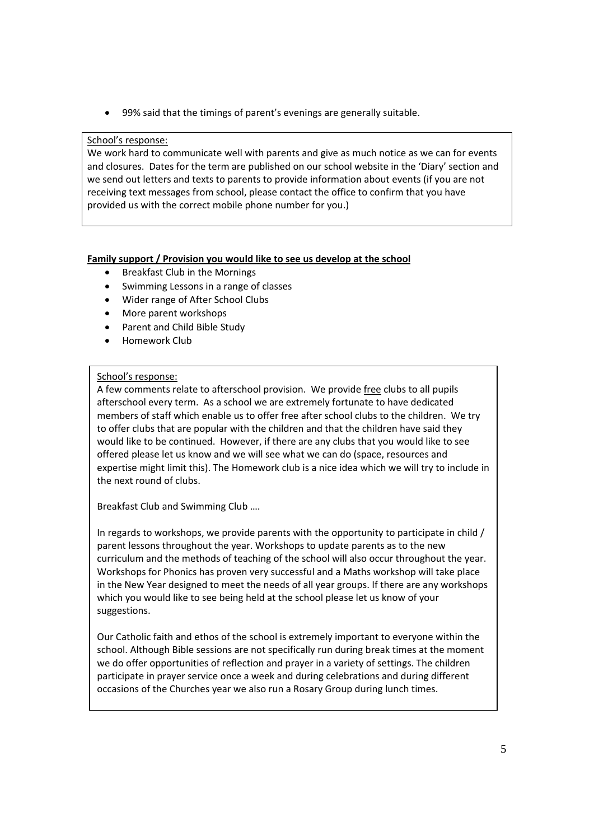• 99% said that the timings of parent's evenings are generally suitable.

# School's response:

We work hard to communicate well with parents and give as much notice as we can for events and closures. Dates for the term are published on our school website in the 'Diary' section and we send out letters and texts to parents to provide information about events (if you are not receiving text messages from school, please contact the office to confirm that you have provided us with the correct mobile phone number for you.)

#### **Family support / Provision you would like to see us develop at the school**

- Breakfast Club in the Mornings
- Swimming Lessons in a range of classes
- Wider range of After School Clubs
- More parent workshops
- Parent and Child Bible Study
- Homework Club

#### School's response:

A few comments relate to afterschool provision. We provide free clubs to all pupils afterschool every term. As a school we are extremely fortunate to have dedicated members of staff which enable us to offer free after school clubs to the children. We try to offer clubs that are popular with the children and that the children have said they would like to be continued. However, if there are any clubs that you would like to see offered please let us know and we will see what we can do (space, resources and expertise might limit this). The Homework club is a nice idea which we will try to include in the next round of clubs.

Breakfast Club and Swimming Club ….

In regards to workshops, we provide parents with the opportunity to participate in child / parent lessons throughout the year. Workshops to update parents as to the new curriculum and the methods of teaching of the school will also occur throughout the year. Workshops for Phonics has proven very successful and a Maths workshop will take place in the New Year designed to meet the needs of all year groups. If there are any workshops which you would like to see being held at the school please let us know of your suggestions.

Our Catholic faith and ethos of the school is extremely important to everyone within the school. Although Bible sessions are not specifically run during break times at the moment we do offer opportunities of reflection and prayer in a variety of settings. The children participate in prayer service once a week and during celebrations and during different occasions of the Churches year we also run a Rosary Group during lunch times.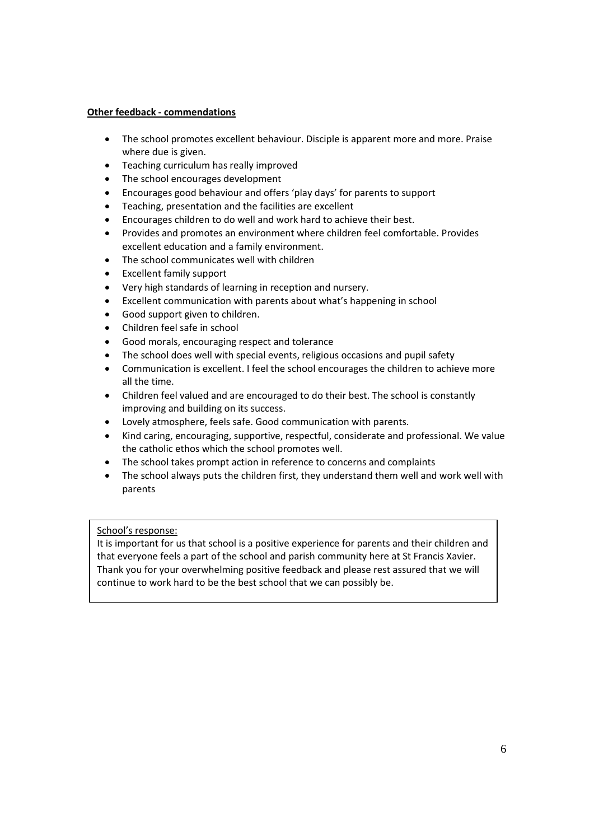# **Other feedback ‐ commendations**

- The school promotes excellent behaviour. Disciple is apparent more and more. Praise where due is given.
- Teaching curriculum has really improved
- The school encourages development
- Encourages good behaviour and offers 'play days' for parents to support
- Teaching, presentation and the facilities are excellent
- Encourages children to do well and work hard to achieve their best.
- Provides and promotes an environment where children feel comfortable. Provides excellent education and a family environment.
- The school communicates well with children
- Excellent family support
- Very high standards of learning in reception and nursery.
- Excellent communication with parents about what's happening in school
- Good support given to children.
- Children feel safe in school
- Good morals, encouraging respect and tolerance
- The school does well with special events, religious occasions and pupil safety
- Communication is excellent. I feel the school encourages the children to achieve more all the time.
- Children feel valued and are encouraged to do their best. The school is constantly improving and building on its success.
- Lovely atmosphere, feels safe. Good communication with parents.
- Kind caring, encouraging, supportive, respectful, considerate and professional. We value the catholic ethos which the school promotes well.
- The school takes prompt action in reference to concerns and complaints
- The school always puts the children first, they understand them well and work well with parents

# School's response:

It is important for us that school is a positive experience for parents and their children and that everyone feels a part of the school and parish community here at St Francis Xavier. Thank you for your overwhelming positive feedback and please rest assured that we will continue to work hard to be the best school that we can possibly be.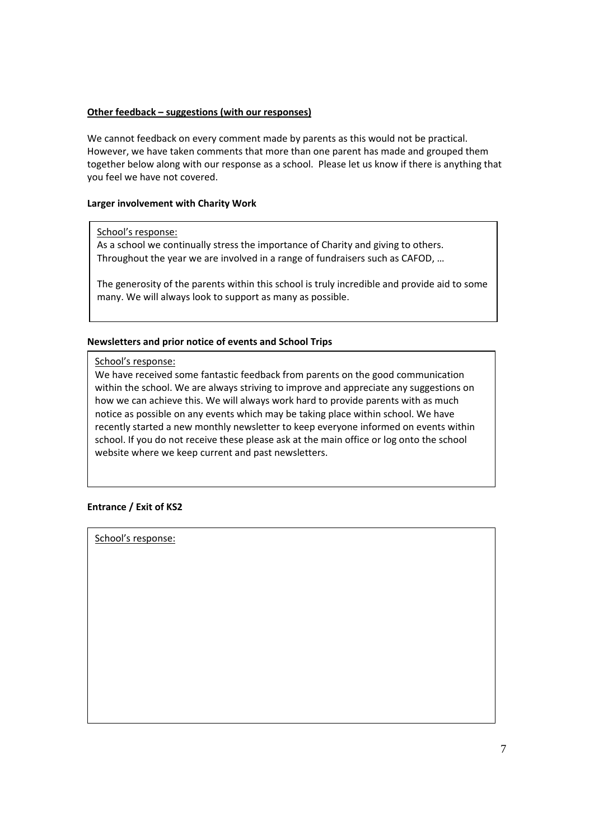#### **Other feedback – suggestions (with our responses)**

We cannot feedback on every comment made by parents as this would not be practical. However, we have taken comments that more than one parent has made and grouped them together below along with our response as a school. Please let us know if there is anything that you feel we have not covered.

#### **Larger involvement with Charity Work**

#### School's response:

As a school we continually stress the importance of Charity and giving to others. Throughout the year we are involved in a range of fundraisers such as CAFOD, …

The generosity of the parents within this school is truly incredible and provide aid to some many. We will always look to support as many as possible.

#### **Newsletters and prior notice of events and School Trips**

School's response:

We have received some fantastic feedback from parents on the good communication within the school. We are always striving to improve and appreciate any suggestions on how we can achieve this. We will always work hard to provide parents with as much notice as possible on any events which may be taking place within school. We have recently started a new monthly newsletter to keep everyone informed on events within school. If you do not receive these please ask at the main office or log onto the school website where we keep current and past newsletters.

# **Entrance / Exit of KS2**

School's response: